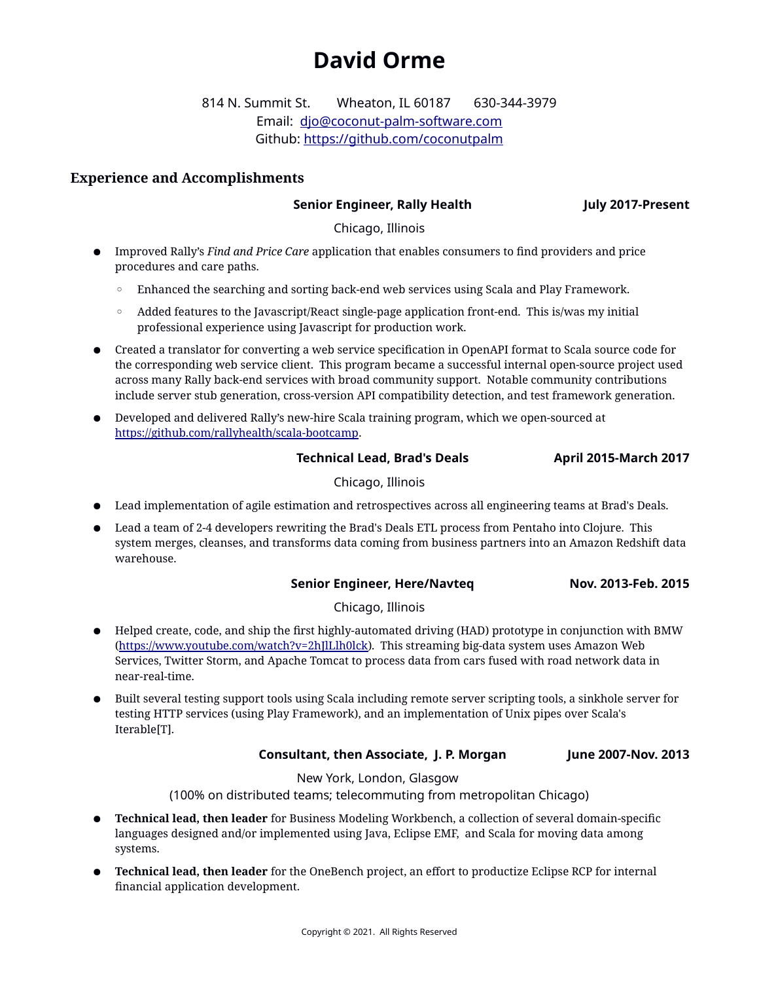# **David Orme**

814 N. Summit St. Wheaton, IL 60187 630-344-3979 Email: [djo@coconut-palm-software.com](mailto:djo@coconut-palm-software.com) Github:<https://github.com/coconutpalm>

# **Experience and Accomplishments**

# **Senior Engineer, Rally Health July 2017-Present**

Chicago, Illinois

- Improved Rally's *Find and Price Care* application that enables consumers to find providers and price procedures and care paths.
	- Enhanced the searching and sorting back-end web services using Scala and Play Framework.
	- Added features to the Javascript/React single-page application front-end. This is/was my initial professional experience using Javascript for production work.
- Created a translator for converting a web service specification in OpenAPI format to Scala source code for the corresponding web service client. This program became a successful internal open-source project used across many Rally back-end services with broad community support. Notable community contributions include server stub generation, cross-version API compatibility detection, and test framework generation.
- Developed and delivered Rally's new-hire Scala training program, which we open-sourced at <https://github.com/rallyhealth/scala-bootcamp>.

# **Technical Lead, Brad's Deals April 2015-March 2017**

# Chicago, Illinois

- Lead implementation of agile estimation and retrospectives across all engineering teams at Brad's Deals.
- Lead a team of 2-4 developers rewriting the Brad's Deals ETL process from Pentaho into Clojure. This system merges, cleanses, and transforms data coming from business partners into an Amazon Redshift data warehouse.

# **Senior Engineer, Here/Navteq Nov. 2013-Feb. 2015**

# Chicago, Illinois

- Helped create, code, and ship the first highly-automated driving (HAD) prototype in conjunction with BMW (<https://www.youtube.com/watch?v=2hJlLlh0lck>). This streaming big-data system uses Amazon Web Services, Twitter Storm, and Apache Tomcat to process data from cars fused with road network data in near-real-time.
- Built several testing support tools using Scala including remote server scripting tools, a sinkhole server for testing HTTP services (using Play Framework), and an implementation of Unix pipes over Scala's Iterable[T].

# **Consultant, then Associate, J. P. Morgan June 2007-Nov. 2013**

New York, London, Glasgow

(100% on distributed teams; telecommuting from metropolitan Chicago)

- **Technical lead, then leader** for Business Modeling Workbench, a collection of several domain-specific languages designed and/or implemented using Java, Eclipse EMF, and Scala for moving data among systems.
- **Technical lead, then leader** for the OneBench project, an effort to productize Eclipse RCP for internal financial application development.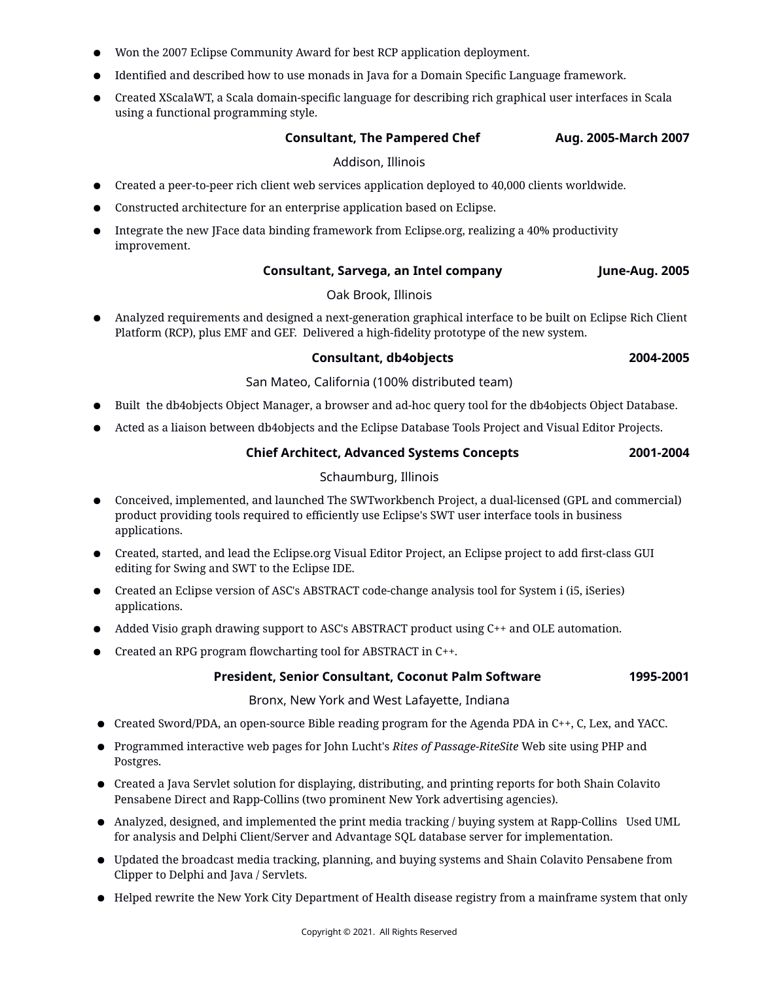- Won the 2007 Eclipse Community Award for best RCP application deployment.
- Identified and described how to use monads in Java for a Domain Specific Language framework.
- Created XScalaWT, a Scala domain-specific language for describing rich graphical user interfaces in Scala using a functional programming style.

### **Consultant, The Pampered Chef Aug. 2005-March 2007**

#### Addison, Illinois

- Created a peer-to-peer rich client web services application deployed to 40,000 clients worldwide.
- Constructed architecture for an enterprise application based on Eclipse.
- Integrate the new JFace data binding framework from Eclipse.org, realizing a 40% productivity improvement.

### **Consultant, Sarvega, an Intel company June-Aug. 2005**

# Oak Brook, Illinois

● Analyzed requirements and designed a next-generation graphical interface to be built on Eclipse Rich Client Platform (RCP), plus EMF and GEF. Delivered a high-fidelity prototype of the new system.

### **Consultant, db4objects 2004-2005**

### San Mateo, California (100% distributed team)

- Built the db4objects Object Manager, a browser and ad-hoc query tool for the db4objects Object Database.
- Acted as a liaison between db4objects and the Eclipse Database Tools Project and Visual Editor Projects.

# **Chief Architect, Advanced Systems Concepts 2001-2004**

# Schaumburg, Illinois

- Conceived, implemented, and launched The SWTworkbench Project, a dual-licensed (GPL and commercial) product providing tools required to efficiently use Eclipse's SWT user interface tools in business applications.
- Created, started, and lead the Eclipse.org Visual Editor Project, an Eclipse project to add first-class GUI editing for Swing and SWT to the Eclipse IDE.
- Created an Eclipse version of ASC's ABSTRACT code-change analysis tool for System i (i5, iSeries) applications.
- Added Visio graph drawing support to ASC's ABSTRACT product using C++ and OLE automation.
- Created an RPG program flowcharting tool for ABSTRACT in C++.

# **President, Senior Consultant, Coconut Palm Software 1995-2001**

# Bronx, New York and West Lafayette, Indiana

- Created Sword/PDA, an open-source Bible reading program for the Agenda PDA in C++, C, Lex, and YACC.
- Programmed interactive web pages for John Lucht's *Rites of Passage-RiteSite* Web site using PHP and Postgres.
- Created a Java Servlet solution for displaying, distributing, and printing reports for both Shain Colavito Pensabene Direct and Rapp-Collins (two prominent New York advertising agencies).
- Analyzed, designed, and implemented the print media tracking / buying system at Rapp-Collins Used UML for analysis and Delphi Client/Server and Advantage SQL database server for implementation.
- Updated the broadcast media tracking, planning, and buying systems and Shain Colavito Pensabene from Clipper to Delphi and Java / Servlets.
- Helped rewrite the New York City Department of Health disease registry from a mainframe system that only